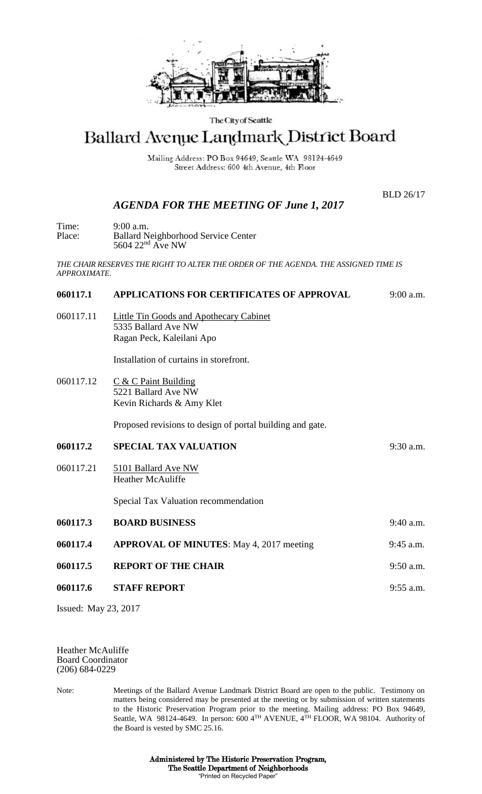

#### The City of Seattle

# Ballard Avenue Landmark District Board

Mailing Address: PO Box 94649, Seattle WA 98124-4649 Street Address: 600 4th Avenue, 4th Floor

BLD 26/17

## *AGENDA FOR THE MEETING OF June 1, 2017*

| Time:  | $9:00$ a.m.                                |
|--------|--------------------------------------------|
| Place: | <b>Ballard Neighborhood Service Center</b> |
|        | 5604 $22nd$ Ave NW                         |

*THE CHAIR RESERVES THE RIGHT TO ALTER THE ORDER OF THE AGENDA. THE ASSIGNED TIME IS APPROXIMATE.*

## **060117.1 APPLICATIONS FOR CERTIFICATES OF APPROVAL** 9:00 a.m.

060117.11 Little Tin Goods and Apothecary Cabinet 5335 Ballard Ave NW Ragan Peck, Kaleilani Apo

Installation of curtains in storefront.

060117.12 C & C Paint Building 5221 Ballard Ave NW Kevin Richards & Amy Klet

Proposed revisions to design of portal building and gate.

- **060117.2 SPECIAL TAX VALUATION** 9:30 a.m.
- 060117.21 5101 Ballard Ave NW Heather McAuliffe

Special Tax Valuation recommendation

**060117.3 BOARD BUSINESS** 9:40 a.m. **060117.4 APPROVAL OF MINUTES**: May 4, 2017 meeting 9:45 a.m. **060117.5 REPORT OF THE CHAIR** 9:50 a.m. **060117.6 STAFF REPORT** 9:55 a.m.

Issued: May 23, 2017

Heather McAuliffe Board Coordinator (206) 684-0229

Note: Meetings of the Ballard Avenue Landmark District Board are open to the public. Testimony on matters being considered may be presented at the meeting or by submission of written statements to the Historic Preservation Program prior to the meeting. Mailing address: PO Box 94649, Seattle, WA 98124-4649. In person: 600 4<sup>TH</sup> AVENUE, 4<sup>TH</sup> FLOOR, WA 98104. Authority of the Board is vested by SMC 25.16.